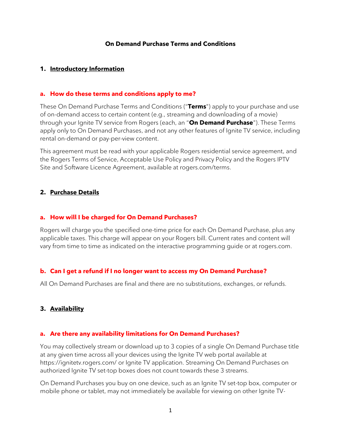### **On Demand Purchase Terms and Conditions**

### **1. Introductory Information**

#### **a. How do these terms and conditions apply to me?**

These On Demand Purchase Terms and Conditions ("**Terms**") apply to your purchase and use of on-demand access to certain content (e.g., streaming and downloading of a movie) through your Ignite TV service from Rogers (each, an "**On Demand Purchase**"). These Terms apply only to On Demand Purchases, and not any other features of Ignite TV service, including rental on-demand or pay-per-view content.

This agreement must be read with your applicable Rogers residential service agreement, and the Rogers Terms of Service, Acceptable Use Policy and Privacy Policy and the Rogers IPTV Site and Software Licence Agreement, available at rogers.com/terms.

#### **2. Purchase Details**

#### **a. How will I be charged for On Demand Purchases?**

Rogers will charge you the specified one-time price for each On Demand Purchase, plus any applicable taxes. This charge will appear on your Rogers bill. Current rates and content will vary from time to time as indicated on the interactive programming guide or at rogers.com.

### **b. Can I get a refund if I no longer want to access my On Demand Purchase?**

All On Demand Purchases are final and there are no substitutions, exchanges, or refunds.

### **3. Availability**

#### **a. Are there any availability limitations for On Demand Purchases?**

You may collectively stream or download up to 3 copies of a single On Demand Purchase title at any given time across all your devices using the Ignite TV web portal available at https://ignitetv.rogers.com/ or Ignite TV application. Streaming On Demand Purchases on authorized Ignite TV set-top boxes does not count towards these 3 streams.

On Demand Purchases you buy on one device, such as an Ignite TV set-top box, computer or mobile phone or tablet, may not immediately be available for viewing on other Ignite TV-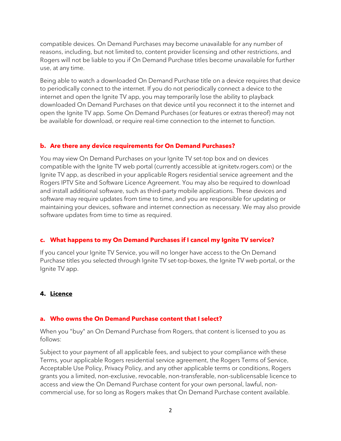compatible devices. On Demand Purchases may become unavailable for any number of reasons, including, but not limited to, content provider licensing and other restrictions, and Rogers will not be liable to you if On Demand Purchase titles become unavailable for further use, at any time.

Being able to watch a downloaded On Demand Purchase title on a device requires that device to periodically connect to the internet. If you do not periodically connect a device to the internet and open the Ignite TV app, you may temporarily lose the ability to playback downloaded On Demand Purchases on that device until you reconnect it to the internet and open the Ignite TV app. Some On Demand Purchases (or features or extras thereof) may not be available for download, or require real-time connection to the internet to function.

# **b. Are there any device requirements for On Demand Purchases?**

You may view On Demand Purchases on your Ignite TV set-top box and on devices compatible with the Ignite TV web portal (currently accessible at ignitetv.rogers.com) or the Ignite TV app, as described in your applicable Rogers residential service agreement and the Rogers IPTV Site and Software Licence Agreement. You may also be required to download and install additional software, such as third-party mobile applications. These devices and software may require updates from time to time, and you are responsible for updating or maintaining your devices, software and internet connection as necessary. We may also provide software updates from time to time as required.

# **c. What happens to my On Demand Purchases if I cancel my Ignite TV service?**

If you cancel your Ignite TV Service, you will no longer have access to the On Demand Purchase titles you selected through Ignite TV set-top-boxes, the Ignite TV web portal, or the Ignite TV app.

# **4. Licence**

# **a. Who owns the On Demand Purchase content that I select?**

When you "buy" an On Demand Purchase from Rogers, that content is licensed to you as follows:

Subject to your payment of all applicable fees, and subject to your compliance with these Terms, your applicable Rogers residential service agreement, the Rogers Terms of Service, Acceptable Use Policy, Privacy Policy, and any other applicable terms or conditions, Rogers grants you a limited, non-exclusive, revocable, non-transferable, non-sublicensable licence to access and view the On Demand Purchase content for your own personal, lawful, noncommercial use, for so long as Rogers makes that On Demand Purchase content available.